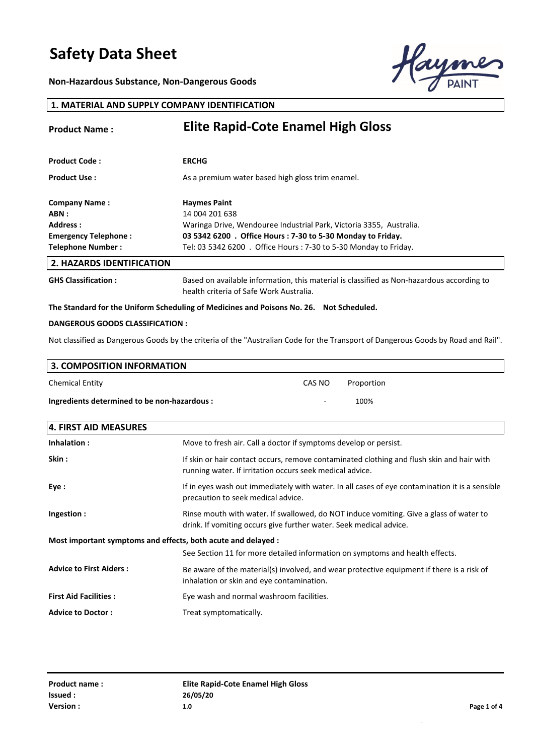**Non-Hazardous Substance, Non-Dangerous Goods**



#### **1. MATERIAL AND SUPPLY COMPANY IDENTIFICATION**

| <b>Product Name:</b>             | <b>Elite Rapid-Cote Enamel High Gloss</b>                                                                                            |
|----------------------------------|--------------------------------------------------------------------------------------------------------------------------------------|
|                                  |                                                                                                                                      |
| <b>Product Code:</b>             | <b>ERCHG</b>                                                                                                                         |
| <b>Product Use:</b>              | As a premium water based high gloss trim enamel.                                                                                     |
| <b>Company Name:</b>             | <b>Haymes Paint</b>                                                                                                                  |
| ABN :                            | 14 004 201 638                                                                                                                       |
| Address:                         | Waringa Drive, Wendouree Industrial Park, Victoria 3355, Australia.                                                                  |
| Emergency Telephone:             | 03 5342 6200 . Office Hours: 7-30 to 5-30 Monday to Friday.                                                                          |
| <b>Telephone Number:</b>         | Tel: 03 5342 6200 . Office Hours: 7-30 to 5-30 Monday to Friday.                                                                     |
| <b>2. HAZARDS IDENTIFICATION</b> |                                                                                                                                      |
| <b>GHS Classification:</b>       | Based on available information, this material is classified as Non-hazardous according to<br>health criteria of Safe Work Australia. |

#### **The Standard for the Uniform Scheduling of Medicines and Poisons No. 26. Not Scheduled.**

#### **DANGEROUS GOODS CLASSIFICATION :**

Not classified as Dangerous Goods by the criteria of the "Australian Code for the Transport of Dangerous Goods by Road and Rail".

| 3. COMPOSITION INFORMATION                   |        |            |  |
|----------------------------------------------|--------|------------|--|
| <b>Chemical Entity</b>                       | CAS NO | Proportion |  |
| Ingredients determined to be non-hazardous : | ۰      | 100%       |  |

| 4. FIRST AID MEASURES                                         |                                                                                                                                                              |  |
|---------------------------------------------------------------|--------------------------------------------------------------------------------------------------------------------------------------------------------------|--|
| Inhalation:                                                   | Move to fresh air. Call a doctor if symptoms develop or persist.                                                                                             |  |
| Skin :                                                        | If skin or hair contact occurs, remove contaminated clothing and flush skin and hair with<br>running water. If irritation occurs seek medical advice.        |  |
| Eye :                                                         | If in eyes wash out immediately with water. In all cases of eye contamination it is a sensible<br>precaution to seek medical advice.                         |  |
| Ingestion:                                                    | Rinse mouth with water. If swallowed, do NOT induce vomiting. Give a glass of water to<br>drink. If vomiting occurs give further water. Seek medical advice. |  |
| Most important symptoms and effects, both acute and delayed : |                                                                                                                                                              |  |
|                                                               | See Section 11 for more detailed information on symptoms and health effects.                                                                                 |  |
| <b>Advice to First Aiders:</b>                                | Be aware of the material(s) involved, and wear protective equipment if there is a risk of<br>inhalation or skin and eye contamination.                       |  |
| <b>First Aid Facilities:</b>                                  | Eye wash and normal washroom facilities.                                                                                                                     |  |
| <b>Advice to Doctor:</b>                                      | Treat symptomatically.                                                                                                                                       |  |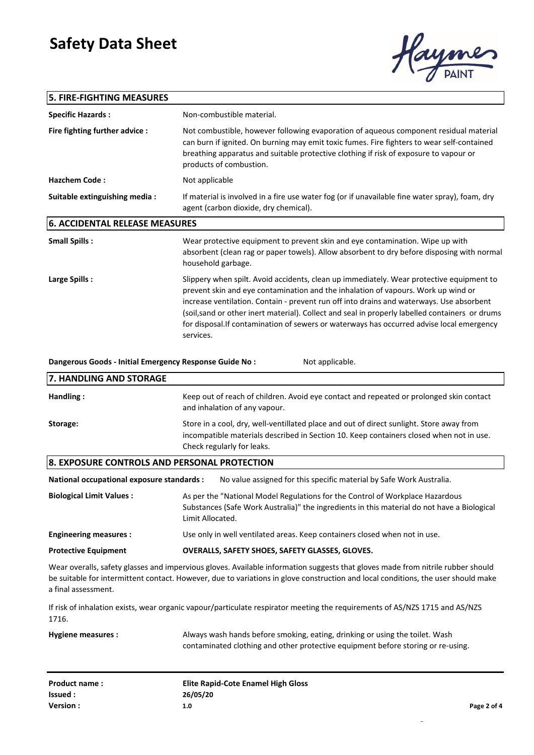### **5. FIRE-FIGHTING MEASURES**



| <b>Specific Hazards:</b>                                |                                                                                                                                                                                                                                                                                                                                                                                                                                                                                        |
|---------------------------------------------------------|----------------------------------------------------------------------------------------------------------------------------------------------------------------------------------------------------------------------------------------------------------------------------------------------------------------------------------------------------------------------------------------------------------------------------------------------------------------------------------------|
|                                                         | Non-combustible material.                                                                                                                                                                                                                                                                                                                                                                                                                                                              |
| Fire fighting further advice :                          | Not combustible, however following evaporation of aqueous component residual material<br>can burn if ignited. On burning may emit toxic fumes. Fire fighters to wear self-contained<br>breathing apparatus and suitable protective clothing if risk of exposure to vapour or<br>products of combustion.                                                                                                                                                                                |
| <b>Hazchem Code:</b>                                    | Not applicable                                                                                                                                                                                                                                                                                                                                                                                                                                                                         |
| Suitable extinguishing media :                          | If material is involved in a fire use water fog (or if unavailable fine water spray), foam, dry<br>agent (carbon dioxide, dry chemical).                                                                                                                                                                                                                                                                                                                                               |
| <b>6. ACCIDENTAL RELEASE MEASURES</b>                   |                                                                                                                                                                                                                                                                                                                                                                                                                                                                                        |
| <b>Small Spills:</b>                                    | Wear protective equipment to prevent skin and eye contamination. Wipe up with<br>absorbent (clean rag or paper towels). Allow absorbent to dry before disposing with normal<br>household garbage.                                                                                                                                                                                                                                                                                      |
| Large Spills:                                           | Slippery when spilt. Avoid accidents, clean up immediately. Wear protective equipment to<br>prevent skin and eye contamination and the inhalation of vapours. Work up wind or<br>increase ventilation. Contain - prevent run off into drains and waterways. Use absorbent<br>(soil, sand or other inert material). Collect and seal in properly labelled containers or drums<br>for disposal. If contamination of sewers or waterways has occurred advise local emergency<br>services. |
| Dangerous Goods - Initial Emergency Response Guide No : | Not applicable.                                                                                                                                                                                                                                                                                                                                                                                                                                                                        |
| 7. HANDLING AND STORAGE                                 |                                                                                                                                                                                                                                                                                                                                                                                                                                                                                        |
| Handling:                                               | Keep out of reach of children. Avoid eye contact and repeated or prolonged skin contact<br>and inhalation of any vapour.                                                                                                                                                                                                                                                                                                                                                               |
| Storage:                                                | Store in a cool, dry, well-ventillated place and out of direct sunlight. Store away from<br>incompatible materials described in Section 10. Keep containers closed when not in use.                                                                                                                                                                                                                                                                                                    |
|                                                         | Check regularly for leaks.                                                                                                                                                                                                                                                                                                                                                                                                                                                             |
| 8. EXPOSURE CONTROLS AND PERSONAL PROTECTION            |                                                                                                                                                                                                                                                                                                                                                                                                                                                                                        |
| National occupational exposure standards :              | No value assigned for this specific material by Safe Work Australia.                                                                                                                                                                                                                                                                                                                                                                                                                   |
| <b>Biological Limit Values:</b>                         | As per the "National Model Regulations for the Control of Workplace Hazardous<br>Substances (Safe Work Australia)" the ingredients in this material do not have a Biological<br>Limit Allocated.                                                                                                                                                                                                                                                                                       |
| <b>Engineering measures:</b>                            | Use only in well ventilated areas. Keep containers closed when not in use.                                                                                                                                                                                                                                                                                                                                                                                                             |
| <b>Protective Equipment</b>                             | OVERALLS, SAFETY SHOES, SAFETY GLASSES, GLOVES.                                                                                                                                                                                                                                                                                                                                                                                                                                        |
| a final assessment.                                     | Wear overalls, safety glasses and impervious gloves. Available information suggests that gloves made from nitrile rubber should<br>be suitable for intermittent contact. However, due to variations in glove construction and local conditions, the user should make                                                                                                                                                                                                                   |
| 1716.                                                   | If risk of inhalation exists, wear organic vapour/particulate respirator meeting the requirements of AS/NZS 1715 and AS/NZS                                                                                                                                                                                                                                                                                                                                                            |

| <b>Product name:</b> | <b>Elite Rapid-Cote Enamel High Gloss</b> |             |
|----------------------|-------------------------------------------|-------------|
| Issued :             | 26/05/20                                  |             |
| <b>Version :</b>     | 1.0                                       | Page 2 of 4 |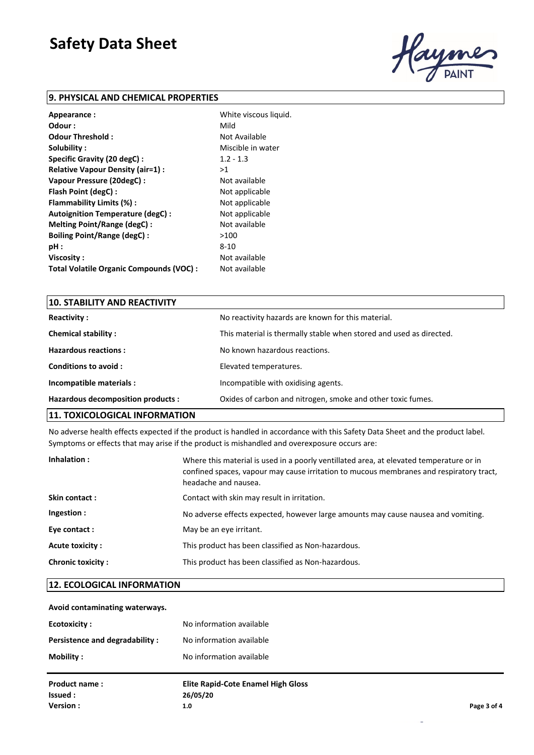

#### **9. PHYSICAL AND CHEMICAL PROPERTIES**

| Appearance:                              | White viscous liquid. |
|------------------------------------------|-----------------------|
| Odour :                                  | Mild                  |
| Odour Threshold:                         | Not Available         |
| Solubility:                              | Miscible in water     |
| Specific Gravity (20 degC):              | $1.2 - 1.3$           |
| Relative Vapour Density (air=1) :        | >1                    |
| Vapour Pressure (20degC) :               | Not available         |
| Flash Point (degC):                      | Not applicable        |
| Flammability Limits (%):                 | Not applicable        |
| Autoignition Temperature (degC) :        | Not applicable        |
| Melting Point/Range (degC):              | Not available         |
| <b>Boiling Point/Range (degC):</b>       | >100                  |
| pH:                                      | 8-10                  |
| Viscosity:                               | Not available         |
| Total Volatile Organic Compounds (VOC) : | Not available         |

| <b>10. STABILITY AND REACTIVITY</b> |                                                                     |
|-------------------------------------|---------------------------------------------------------------------|
| <b>Reactivity:</b>                  | No reactivity hazards are known for this material.                  |
| <b>Chemical stability:</b>          | This material is thermally stable when stored and used as directed. |
| <b>Hazardous reactions:</b>         | No known hazardous reactions.                                       |
| Conditions to avoid:                | Elevated temperatures.                                              |
| Incompatible materials :            | Incompatible with oxidising agents.                                 |
| Hazardous decomposition products :  | Oxides of carbon and nitrogen, smoke and other toxic fumes.         |
|                                     |                                                                     |

#### **11. TOXICOLOGICAL INFORMATION**

No adverse health effects expected if the product is handled in accordance with this Safety Data Sheet and the product label. Symptoms or effects that may arise if the product is mishandled and overexposure occurs are:

| Inhalation:              | Where this material is used in a poorly ventillated area, at elevated temperature or in<br>confined spaces, vapour may cause irritation to mucous membranes and respiratory tract,<br>headache and nausea. |
|--------------------------|------------------------------------------------------------------------------------------------------------------------------------------------------------------------------------------------------------|
| Skin contact:            | Contact with skin may result in irritation.                                                                                                                                                                |
| Ingestion:               | No adverse effects expected, however large amounts may cause nausea and vomiting.                                                                                                                          |
| Eye contact:             | May be an eye irritant.                                                                                                                                                                                    |
| Acute toxicity :         | This product has been classified as Non-hazardous.                                                                                                                                                         |
| <b>Chronic toxicity:</b> | This product has been classified as Non-hazardous.                                                                                                                                                         |

#### **12. ECOLOGICAL INFORMATION**

#### **Avoid contaminating waterways.**

| <b>Ecotoxicity:</b>            | No information available                  |             |
|--------------------------------|-------------------------------------------|-------------|
| Persistence and degradability: | No information available                  |             |
| Mobility:                      | No information available                  |             |
| <b>Product name:</b>           | <b>Elite Rapid-Cote Enamel High Gloss</b> |             |
| Issued :                       | 26/05/20                                  |             |
| Version:                       | 1.0                                       | Page 3 of 4 |